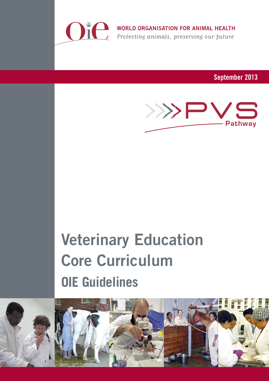

WORLD ORGANISATION FOR ANIMAL HEALTH<br>Protecting animals, preserving our future

September 2013



# **Veterinary Education Core Curriculum OIE Guidelines**

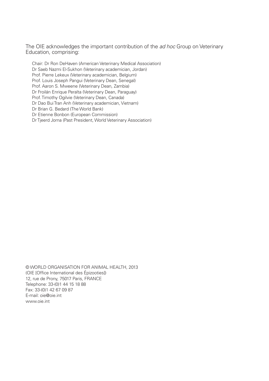The OIE acknowledges the important contribution of the *ad hoc* Group on Veterinary Education, comprising:

Chair: Dr Ron DeHaven (American Veterinary Medical Association) Dr Saeb Nazmi El-Sukhon (Veterinary academician, Jordan) Prof. Pierre Lekeux (Veterinary academician, Belgium) Prof. Louis Joseph Pangui (Veterinary Dean, Senegal) Prof. Aaron S. Mweene (Veterinary Dean, Zambia) Dr Froilán Enrique Peralta (Veterinary Dean, Paraguay) Prof. Timothy Ogilvie (Veterinary Dean, Canada) Dr Dao Bui Tran Anh (Veterinary academician, Vietnam) Dr Brian G. Bedard (The World Bank) Dr Etienne Bonbon (European Commission) Dr Tjeerd Jorna (Past President, World Veterinary Association)

© WORLD ORGANISATION FOR ANIMAL HEALTH, 2013 (OIE [Office International des Épizooties]) 12, rue de Prony, 75017 Paris, FRANCE Telephone: 33-(0)1 44 15 18 88 Fax: 33-(0)1 42 67 09 87 E-mail: oie@oie.int www.oie.int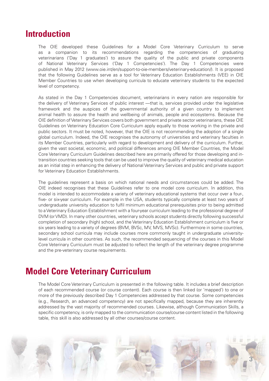## **Introduction**

The OIE developed these Guidelines for a Model Core Veterinary Curriculum to serve as a companion to its recommendations regarding the competencies of graduating veterinarians ('Day 1 graduates') to assure the quality of the public and private components of National Veterinary Services ('Day 1 Competencies'). The Day 1 Competencies were published in May 2012 (www.oie.int/en/support-to-oie-members/veterinary-education/). It is proposed that the following Guidelines serve as a tool for Veterinary Education Establishments (VEE) in OIE Member Countries to use when developing curricula to educate veterinary students to the expected level of competency.

As stated in the Day 1 Competencies document, veterinarians in every nation are responsible for the delivery of Veterinary Services of public interest —that is, services provided under the legislative framework and the auspices of the governmental authority of a given country to implement animal health to assure the health and wellbeing of animals, people and ecosystems. Because the OIE definition of Veterinary Services covers both government and private sector veterinarians, these OIE Guidelines on Veterinary Education Core Curriculum apply equally to those working in the private and public sectors. It must be noted, however, that the OIE is not recommending the adoption of a single global curriculum. Indeed, the OIE recognises the autonomy of universities and veterinary faculties in its Member Countries, particularly with regard to development and delivery of the curriculum. Further, given the vast societal, economic, and political differences among OIE Member Countries, the Model Core Veterinary Curriculum Guidelines described here are primarily offered for those developing and intransition countries seeking tools that can be used to improve the quality of veterinary medical education as an initial step in enhancing the delivery of National Veterinary Services and public and private support for Veterinary Education Establishments.

The guidelines represent a basis on which national needs and circumstances could be added. The OIE indeed recognises that these Guidelines refer to one model core curriculum. In addition, this model is intended to accommodate a variety of veterinary educational systems that occur over a four-, five- or six-year curriculum. For example in the USA, students typically complete at least two years of undergraduate university education to fulfil minimum educational prerequisites prior to being admitted to a Veterinary Education Establishment with a four-year curriculum leading to the professional degree of DVM (or VMD). In many other countries, veterinary schools accept students directly following successful completion of secondary (high) school, and the Veterinary Education Establishment curriculum is five or six years leading to a variety of degrees (BVM, BVSc, MV, MVS, MVSc). Furthermore in some countries, secondary school curricula may include courses more commonly taught in undergraduate universitylevel curricula in other countries. As such, the recommended sequencing of the courses in this Model Core Veterinary Curriculum must be adjusted to reflect the length of the veterinary degree programme and the pre-veterinary course requirements.

## **Model Core Veterinary Curriculum**

The Model Core Veterinary Curriculum is presented in the following table. It includes a brief description of each recommended course (or course content). Each course is then linked (or 'mapped') to one or more of the previously described Day 1 Competencies addressed by that course. Some competencies (e.g., Research, an advanced competency) are not specifically mapped, because they are inherently addressed by the vast majority of recommended courses. Likewise, although Communication Skills, a specific competency, is only mapped to the communication course/course content listed in the following table, this skill is also addressed by all other courses/course content.

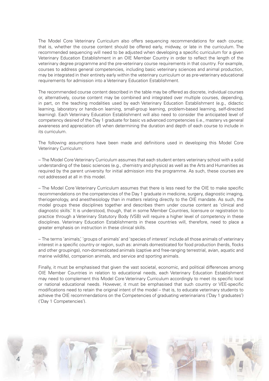The Model Core Veterinary Curriculum also offers sequencing recommendations for each course; that is, whether the course content should be offered early, midway, or late in the curriculum. The recommended sequencing will need to be adjusted when developing a specific curriculum for a given Veterinary Education Establishment in an OIE Member Country in order to reflect the length of the veterinary degree programme and the pre-veterinary course requirements in that country. For example, courses to address general competencies, including basic veterinary sciences and animal production, may be integrated in their entirety early within the veterinary curriculum or as pre-veterinary educational requirements for admission into a Veterinary Education Establishment.

The recommended course content described in the table may be offered as discrete, individual courses or, alternatively, course content may be combined and integrated over multiple courses, depending, in part, on the teaching modalities used by each Veterinary Education Establishment (e.g., didactic learning, laboratory or hands-on learning, small-group learning, problem-based learning, self-directed learning). Each Veterinary Education Establishment will also need to consider the anticipated level of competency desired of the Day 1 graduate for basic vs advanced competencies (i.e., mastery vs general awareness and appreciation of) when determining the duration and depth of each course to include in its curriculum.

The following assumptions have been made and definitions used in developing this Model Core Veterinary Curriculum:

– The Model Core Veterinary Curriculum assumes that each student enters veterinary school with a solid understanding of the basic sciences (e.g., chemistry and physics) as well as the Arts and Humanities as required by the parent university for initial admission into the programme. As such, these courses are not addressed at all in this model.

– The Model Core Veterinary Curriculum assumes that there is less need for the OIE to make specific recommendations on the competencies of the Day 1 graduate in medicine, surgery, diagnostic imaging, theriogenology, and anesthesiology than in matters relating directly to the OIE mandate. As such, the model groups these disciplines together and describes them under course content as 'clinical and diagnostic skills.' It is understood, though, that in some Member Countries, licensure or registration to practice through a Veterinary Statutory Body (VSB) will require a higher level of competency in these disciplines. Veterinary Education Establishments in these countries will, therefore, need to place a greater emphasis on instruction in these clinical skills.

– The terms 'animals,' 'groups of animals' and 'species of interest' include all those animals of veterinary interest in a specific country or region, such as: animals domesticated for food production (herds, flocks and other groupings), non-domesticated animals (captive and free-ranging terrestrial, avian, aquatic and marine wildlife), companion animals, and service and sporting animals.

Finally, it must be emphasised that given the vast societal, economic, and political differences among OIE Member Countries in relation to educational needs, each Veterinary Education Establishment may need to complement this Model Core Veterinary Curriculum accordingly to meet its specific local or national educational needs. However, it must be emphasised that such country or VEE-specific modifications need to retain the original intent of the model – that is, to educate veterinary students to achieve the OIE recommendations on the Competencies of graduating veterinarians ('Day 1 graduates') ('Day 1 Competencies').

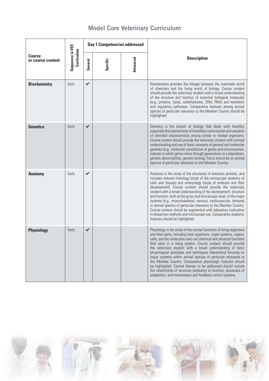|                                    |                               | Day 1 Competencies addressed |          |          |                                                                                                                                                                                                                                                                                                                                                                                                                                                                                                                                                                                                                                                                                                                                                     |
|------------------------------------|-------------------------------|------------------------------|----------|----------|-----------------------------------------------------------------------------------------------------------------------------------------------------------------------------------------------------------------------------------------------------------------------------------------------------------------------------------------------------------------------------------------------------------------------------------------------------------------------------------------------------------------------------------------------------------------------------------------------------------------------------------------------------------------------------------------------------------------------------------------------------|
| <b>Course</b><br>or course content | Sequence in VEE<br>Curriculum | General                      | Specific | Advanced | <b>Description</b>                                                                                                                                                                                                                                                                                                                                                                                                                                                                                                                                                                                                                                                                                                                                  |
| <b>Biochemistry</b>                | Early                         | $\checkmark$                 |          |          | Biochemistry provides the linkage between the inanimate world<br>of chemistry and the living world of biology. Course content<br>should provide the veterinary student with a broad understanding<br>of the structure and function of essential biological molecules<br>(e.g., proteins, lipids, carbohydrates, DNA, RNA) and metabolic<br>and regulatory pathways. Comparative features among animal<br>species of particular relevance to the Member Country should be<br>highlighted.                                                                                                                                                                                                                                                            |
| <b>Genetics</b>                    | Early                         | V                            |          |          | Genetics is the branch of biology that deals with heredity,<br>especially the mechanisms of hereditary transmission and variation<br>of inherited characteristics among similar or related organisms.<br>Course content should provide the veterinary student with a broad<br>understanding and use of basic concepts of general and molecular<br>genetics (e.g., molecular constitution of genes and chromosomes,<br>manner in which genes move through generations in a population,<br>genetic abnormalities, genetic testing). Focus should be on animal<br>species of particular relevance to the Member Country.                                                                                                                               |
| <b>Anatomy</b>                     | Early                         | $\checkmark$                 |          |          | Anatomy is the study of the structures of domestic animals, and<br>includes relevant histology (study of the microscopic anatomy of<br>cells and tissues) and embryology (study of embryos and their<br>development). Course content should provide the veterinary<br>student with a broad understanding of the development, structure<br>and function, both at the gross and microscopic level, of the major<br>systems (e.g., musculoskeletal, nervous, cardiovascular, immune)<br>in animal species of particular relevance to the Member Country.<br>Course content should be augmented with laboratory instruction<br>in dissection methods and microscope use. Comparative anatomic<br>features should be highlighted.                        |
| <b>Physiology</b>                  | Early                         | V                            |          |          | Physiology is the study of the normal functions of living organisms<br>and their parts, including how organisms, organ systems, organs,<br>cells, and bio-molecules carry out chemical and physical functions<br>that exist in a living system. Course content should provide<br>the veterinary student with a broad understanding of basic<br>physiological principles and techniques (laboratory) focusing on<br>major systems within animal species of particular relevance to<br>the Member Country. Comparative physiologic features should<br>be highlighted. Central themes to be addressed should include<br>the relationship of structure (anatomy) to function, processes of<br>adaptation, and homeostasis and feedback control systems. |

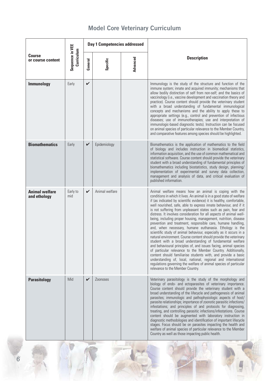|                                       |                               | Day 1 Competencies addressed |                 |          |                                                                                                                                                                                                                                                                                                                                                                                                                                                                                                                                                                                                                                                                                                                                                                                                                                                                                                                                                                                                                                                                                                                                                                                                           |
|---------------------------------------|-------------------------------|------------------------------|-----------------|----------|-----------------------------------------------------------------------------------------------------------------------------------------------------------------------------------------------------------------------------------------------------------------------------------------------------------------------------------------------------------------------------------------------------------------------------------------------------------------------------------------------------------------------------------------------------------------------------------------------------------------------------------------------------------------------------------------------------------------------------------------------------------------------------------------------------------------------------------------------------------------------------------------------------------------------------------------------------------------------------------------------------------------------------------------------------------------------------------------------------------------------------------------------------------------------------------------------------------|
| <b>Course</b><br>or course content    | Sequence in VEE<br>Curriculum | General                      | Specific        | Advanced | <b>Description</b>                                                                                                                                                                                                                                                                                                                                                                                                                                                                                                                                                                                                                                                                                                                                                                                                                                                                                                                                                                                                                                                                                                                                                                                        |
| Immunology                            | Early                         | $\checkmark$                 |                 |          | Immunology is the study of the structure and function of the<br>immune system; innate and acquired immunity; mechanisms that<br>allow bodily distinction of self from non-self; and the basics of<br>vaccinology (i.e., vaccine development and vaccination theory and<br>practice). Course content should provide the veterinary student<br>with a broad understanding of fundamental immunological<br>concepts and mechanisms and the ability to apply these to<br>appropriate settings (e.g., control and prevention of infectious<br>diseases; use of immunotherapies; use and interpretation of<br>immunologic-based diagnostic tests). Instruction can be focused<br>on animal species of particular relevance to the Member Country,<br>and comparative features among species should be highlighted.                                                                                                                                                                                                                                                                                                                                                                                              |
| <b>Biomathematics</b>                 | Early                         | $\checkmark$                 | Epidemiology    |          | Biomathematics is the application of mathematics to the field<br>of biology and includes instruction in biomedical statistics,<br>information acquisition, and the use of common mathematical and<br>statistical software. Course content should provide the veterinary<br>student with a broad understanding of fundamental principles of<br>biomathematics including biostatistics, study design, planning/<br>implementation of experimental and survey data collection,<br>management and analysis of data, and critical evaluation of<br>published information.                                                                                                                                                                                                                                                                                                                                                                                                                                                                                                                                                                                                                                      |
| <b>Animal welfare</b><br>and ethology | Early to<br>mid               | V                            | Animal welfare  |          | Animal welfare means how an animal is coping with the<br>conditions in which it lives. An animal is in a good state of welfare<br>if (as indicated by scientific evidence) it is healthy, comfortable,<br>well nourished, safe, able to express innate behaviour, and if it<br>is not suffering from unpleasant states such as pain, fear and<br>distress. It involves consideration for all aspects of animal well-<br>being, including proper housing, management, nutrition, disease<br>prevention and treatment, responsible care, humane handling,<br>and, when necessary, humane euthanasia. Ethology is the<br>scientific study of animal behaviour, especially as it occurs in a<br>natural environment. Course content should provide the veterinary<br>student with a broad understanding of fundamental welfare<br>and behavioural principles of, and issues facing, animal species<br>of particular relevance to the Member Country. Additionally,<br>content should familiarise students with, and provide a basic<br>understanding of, local, national, regional and international<br>regulations governing the welfare of animal species of particular<br>relevance to the Member Country. |
| <b>Parasitology</b>                   | Mid                           | $\boldsymbol{\mathcal{U}}$   | <b>Zoonoses</b> |          | Veterinary parasitology is the study of the morphology and<br>biology of endo- and ectoparasites of veterinary importance.<br>Course content should provide the veterinary student with a<br>broad understanding of the lifecycle and pathogenesis of animal<br>parasites; immunologic and pathophysiologic aspects of host/<br>parasite relationships; importance of zoonotic parasitic infections/<br>infestations; and principles of and protocols for diagnosing,<br>treating, and controlling parasitic infections/infestations. Course<br>content should be augmented with laboratory instruction in<br>diagnostic methodologies and identification of important lifecycle<br>stages. Focus should be on parasites impacting the health and<br>welfare of animal species of particular relevance to the Member<br>Country as well as those impacting public health.                                                                                                                                                                                                                                                                                                                                 |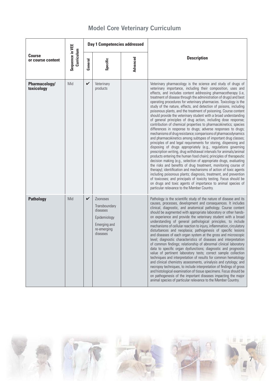|  |  |  | <b>Model Core Veterinary Curriculum</b> |
|--|--|--|-----------------------------------------|
|--|--|--|-----------------------------------------|

|                                    |                               | Day 1 Competencies addressed |                                                                                                  |          |                                                                                                                                                                                                                                                                                                                                                                                                                                                                                                                                                                                                                                                                                                                                                                                                                                                                                                                                                                                                                                                                                                                                                                                                                                                                                                                                                                                                                                                                                                                                                                                                                                                        |
|------------------------------------|-------------------------------|------------------------------|--------------------------------------------------------------------------------------------------|----------|--------------------------------------------------------------------------------------------------------------------------------------------------------------------------------------------------------------------------------------------------------------------------------------------------------------------------------------------------------------------------------------------------------------------------------------------------------------------------------------------------------------------------------------------------------------------------------------------------------------------------------------------------------------------------------------------------------------------------------------------------------------------------------------------------------------------------------------------------------------------------------------------------------------------------------------------------------------------------------------------------------------------------------------------------------------------------------------------------------------------------------------------------------------------------------------------------------------------------------------------------------------------------------------------------------------------------------------------------------------------------------------------------------------------------------------------------------------------------------------------------------------------------------------------------------------------------------------------------------------------------------------------------------|
| <b>Course</b><br>or course content | Sequence in VEE<br>Curriculum |                              | Specific                                                                                         | Advanced | <b>Description</b>                                                                                                                                                                                                                                                                                                                                                                                                                                                                                                                                                                                                                                                                                                                                                                                                                                                                                                                                                                                                                                                                                                                                                                                                                                                                                                                                                                                                                                                                                                                                                                                                                                     |
| <b>Pharmacology/</b><br>toxicology | Mid                           | $\checkmark$                 | Veterinary<br>products                                                                           |          | Veterinary pharmacology is the science and study of drugs of<br>veterinary importance, including their composition, uses and<br>effects, and includes content addressing pharmacotherapy (i.e,<br>treatment of disease through the administration of drugs) and best<br>operating procedures for veterinary pharmacies. Toxicology is the<br>study of the nature, effects, and detection of poisons, including<br>poisonous plants, and the treatment of poisoning. Course content<br>should provide the veterinary student with a broad understanding<br>of general principles of drug action, including dose response;<br>contribution of chemical properties to pharmacokinetics; species<br>differences in response to drugs; adverse responses to drugs;<br>mechanisms of drug resistance; comparisons of pharmacodynamics<br>and pharmacokinetics among subtypes of important drug classes;<br>principles of and legal requirements for storing, dispensing and<br>disposing of drugs appropriately (e.g., regulations governing<br>prescription writing, drug withdrawal intervals for animals/animal<br>products entering the human food chain); principles of therapeutic<br>decision making (e.g., selection of appropriate drugs, evaluating<br>the risks and benefits of drug treatment, monitoring course of<br>therapy); identification and mechanisms of action of toxic agents<br>including poisonous plants; diagnosis, treatment, and prevention<br>of toxicoses; and principals of toxicity testing. Focus should be<br>on drugs and toxic agents of importance to animal species of<br>particular relevance to the Member Country. |
| <b>Pathology</b>                   | Mid                           | V                            | Zoonoses<br>Transboundary<br>diseases<br>Epidemiology<br>Emerging and<br>re-emerging<br>diseases |          | Pathology is the scientific study of the nature of disease and its<br>causes, processes, development and consequences. It includes<br>clinical, diagnostic, and anatomical pathology. Course content<br>should be augmented with appropriate laboratory or other hands-<br>on experience and provide the veterinary student with a broad<br>understanding of general pathological principles, to include<br>mechanisms of cellular reaction to injury, inflammation, circulatory<br>disturbances and neoplasia; pathogenesis of specific lesions<br>and diseases of each organ system at the gross and microscopic<br>level; diagnostic characteristics of diseases and interpretation<br>of common findings; relationship of abnormal clinical laboratory<br>data to specific organ dysfunctions; diagnostic and prognostic<br>value of pertinent laboratory tests; correct sample collection<br>techniques and interpretation of results for common hematology<br>and clinical chemistry assessments, urinalysis and cytology; and<br>necropsy techniques, to include interpretation of findings of gross<br>and histological examination of tissue specimens. Focus should be<br>on pathogenesis of the important diseases impacting the major<br>animal species of particular relevance to the Member Country.                                                                                                                                                                                                                                                                                                                                     |

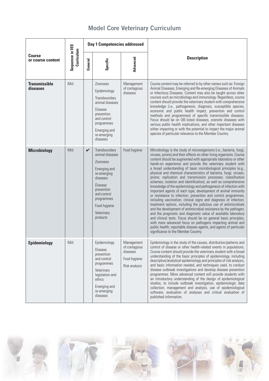|  |  |  | <b>Model Core Veterinary Curriculum</b> |
|--|--|--|-----------------------------------------|
|--|--|--|-----------------------------------------|

| Sequence in VEE<br><b>Course</b><br>or course content |            | Day 1 Competencies addressed |                                                                                                                                                                                                       |                                                                          |                                                                                                                                                                                                                                                                                                                                                                                                                                                                                                                                                                                                                                                                                                                                                                                                                                                                                                                                                                                                                                                                                                                                                                                                                                                                                                      |
|-------------------------------------------------------|------------|------------------------------|-------------------------------------------------------------------------------------------------------------------------------------------------------------------------------------------------------|--------------------------------------------------------------------------|------------------------------------------------------------------------------------------------------------------------------------------------------------------------------------------------------------------------------------------------------------------------------------------------------------------------------------------------------------------------------------------------------------------------------------------------------------------------------------------------------------------------------------------------------------------------------------------------------------------------------------------------------------------------------------------------------------------------------------------------------------------------------------------------------------------------------------------------------------------------------------------------------------------------------------------------------------------------------------------------------------------------------------------------------------------------------------------------------------------------------------------------------------------------------------------------------------------------------------------------------------------------------------------------------|
|                                                       | Curriculum | General                      | Specific                                                                                                                                                                                              | Advanced                                                                 | <b>Description</b>                                                                                                                                                                                                                                                                                                                                                                                                                                                                                                                                                                                                                                                                                                                                                                                                                                                                                                                                                                                                                                                                                                                                                                                                                                                                                   |
| <b>Transmissible</b><br>diseases                      | Mid        |                              | Zoonoses<br>Epidemiology<br>Transboundary<br>animal diseases<br><b>Disease</b><br>prevention<br>and control<br>programmes<br>Emerging and<br>re-emerging<br>diseases                                  | Management<br>of contagious<br>diseases                                  | Course content may be referred to by other names such as: Foreign<br>Animal Diseases, Emerging and Re-emerging Diseases of Animals<br>or Infectious Diseases. Content may also be taught across other<br>courses such as microbiology and immunology. Regardless, course<br>content should provide the veterinary student with comprehensive<br>knowledge (i.e., pathogenesis, diagnosis, susceptible species,<br>economic and public health impact, prevention and control<br>methods and programmes) of specific transmissible diseases.<br>Focus should be on OIE-listed diseases, zoonotic diseases with<br>serious public health implications, and other important diseases<br>either impacting or with the potential to impact the major animal<br>species of particular relevance to the Member Country.                                                                                                                                                                                                                                                                                                                                                                                                                                                                                      |
| <b>Microbiology</b>                                   | Mid        | $\checkmark$                 | Transboundary<br>animal diseases<br><b>Zoonoses</b><br>Emerging and<br>re-emerging<br>diseases<br><b>Disease</b><br>prevention<br>and control<br>programmes<br>Food hygiene<br>Veterinary<br>products | Food hygiene                                                             | Microbiology is the study of microorganisms (i.e., bacteria, fungi,<br>viruses, prions) and their effects on other living organisms. Course<br>content should be augmented with appropriate laboratory or other<br>hands-on experience and provide the veterinary student with<br>a broad understanding of basic microbiological principles (e.g.,<br>physical and chemical characteristics of bacteria, fungi, viruses,<br>prions; replication and transmission processes; classification<br>schemes; isolation and identification), as well as comprehensive<br>knowledge of the epidemiology and pathogenesis of infection with<br>important agents of each type; development of animal immunity<br>or resistance to infection; prevention and control programmes,<br>including vaccination; clinical signs and diagnosis of infection;<br>treatment options, including the judicious use of antimicrobials<br>and the development of antimicrobial resistance by the pathogen;<br>and the prognostic and diagnostic value of available laboratory<br>and clinical tests. Focus should be on general basic principles,<br>with more advanced focus on pathogens impacting animal and<br>public health, reportable disease agents, and agents of particular<br>significance to the Member Country. |
| <b>Epidemiology</b>                                   | Mid        |                              | Epidemiology<br><b>Disease</b><br>prevention<br>and control<br>programmes<br>Veterinary<br>legislation and<br>ethics<br>Emerging and<br>re-emerging<br>diseases                                       | Management<br>of contagious<br>diseases<br>Food hygiene<br>Risk analysis | Epidemiology is the study of the causes, distribution/patterns and<br>control of disease or other health-related events in populations.<br>Course content should provide the veterinary student with a broad<br>understanding of the basic principles of epidemiology, including<br>descriptive/analytical epidemiology and principles of risk analysis,<br>and basic information needed, and techniques used, to conduct<br>disease outbreak investigations and develop disease prevention<br>programmes. More advanced content will provide students with<br>an introductory understanding of the design of epidemiological<br>studies, to include outbreak investigation, epidemiologic data<br>collection, management and analysis, use of epidemiological<br>software, evaluation of analyses and critical evaluation of<br>published information.                                                                                                                                                                                                                                                                                                                                                                                                                                              |

8







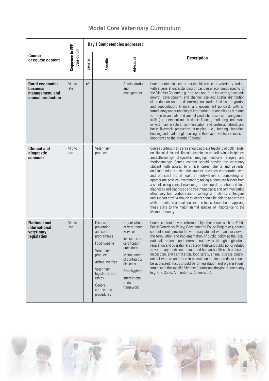| <b>Course</b><br>or course content                                                 |                               | <b>Day 1 Competencies addressed</b> |                                                                                                                                                                                                            |                                                                                                                                                                                             |                                                                                                                                                                                                                                                                                                                                                                                                                                                                                                                                                                                                                                                                                                                                                                                                                                                                                                                                                                                                   |
|------------------------------------------------------------------------------------|-------------------------------|-------------------------------------|------------------------------------------------------------------------------------------------------------------------------------------------------------------------------------------------------------|---------------------------------------------------------------------------------------------------------------------------------------------------------------------------------------------|---------------------------------------------------------------------------------------------------------------------------------------------------------------------------------------------------------------------------------------------------------------------------------------------------------------------------------------------------------------------------------------------------------------------------------------------------------------------------------------------------------------------------------------------------------------------------------------------------------------------------------------------------------------------------------------------------------------------------------------------------------------------------------------------------------------------------------------------------------------------------------------------------------------------------------------------------------------------------------------------------|
|                                                                                    | Sequence in VEE<br>Curriculum | General                             | Specific                                                                                                                                                                                                   | Advanced                                                                                                                                                                                    | <b>Description</b>                                                                                                                                                                                                                                                                                                                                                                                                                                                                                                                                                                                                                                                                                                                                                                                                                                                                                                                                                                                |
| <b>Rural economics,</b><br><b>business</b><br>management, and<br>animal production | Mid to<br>late                | $\checkmark$                        |                                                                                                                                                                                                            | Administration<br>and<br>management                                                                                                                                                         | Course content in these areas should provide the veterinary student<br>with a general understanding of basic rural economics specific to<br>the Member Country (e.g. farm and non-farm industries; economic<br>growth, development, and change; size and spatial distribution<br>of production units and interregional trade; land use; migration<br>and depopulation; finance; and government policies), with an<br>introductory understanding of international economics as it relates<br>to trade in animals and animal products; business management<br>skills (e.g. personal and business finance, marketing, teamwork<br>in veterinary practice, communication and professionalism), and<br>basic livestock production principles (i.e., feeding, breeding,<br>housing and marketing) focusing on the major livestock species of<br>importance to the Member Country.                                                                                                                       |
| <b>Clinical and</b><br>diagnostic<br>sciences                                      | Mid to<br>late                |                                     | Veterinary<br>products                                                                                                                                                                                     |                                                                                                                                                                                             | Course content in this area should address teaching of both hands-<br>on clinical skills and clinical reasoning in the following disciplines:<br>anaesthesiology, diagnostic imaging, medicine, surgery and<br>theriogenology. Course content should provide the veterinary<br>student with access to clinical cases (clients and patients)<br>and instruction so that the student becomes comfortable with<br>and proficient (to at least an entry-level) at completing an<br>appropriate physical examination; taking a complete history from<br>a client; using clinical reasoning to develop differential and final<br>diagnoses and diagnostic and treatment plans; and communicating<br>effectively, both verbally and in writing, with clients, colleagues<br>and support staff. Although students should be able to apply these<br>skills to multiple animal species, the focus should be on applying<br>these skills to the major animal species of importance to the<br>Member Country. |
| <b>National and</b><br>international<br>veterinary<br>legislation                  | Mid to<br>late                |                                     | <b>Disease</b><br>prevention<br>and control<br>programmes<br>Food hygiene<br>Veterinary<br>products<br>Animal welfare<br>Veterinary<br>legislation and<br>ethics<br>General<br>certification<br>procedures | Organisation<br>of Veterinary<br>Services<br>Inspection and<br>certification<br>procedure<br>Management<br>of contagious<br>diseases<br>Food hygiene<br>International<br>trade<br>framework | Course content may be referred to by other names such as: Public<br>Policy, Veterinary Policy; Governmental Policy. Regardless, course<br>content should provide the veterinary student with an overview of<br>the formulation and implementation of public policy at the local,<br>national, regional and international levels through legislation,<br>regulation and operational strategy. Relevant public policy related<br>to veterinary medicine, animal and human health such as health<br>inspections and certification, food safety, animal disease control,<br>animal welfare and trade in animals and animal products should<br>be addressed. Focus should be on legislation and organisational<br>structure of the specific Member Country and the global community<br>(e.g. OIE, Codex Alimentarius Commission).                                                                                                                                                                      |

9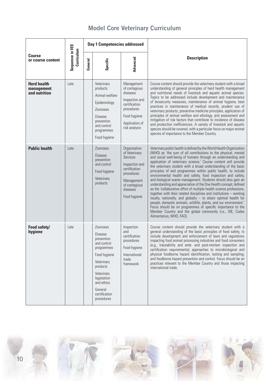| <b>Course</b><br>or course content                | Sequence in VEE<br>Curriculum | Day 1 Competencies addressed |                                                                                                                                                                                                      |                                                                                                                                                       |                                                                                                                                                                                                                                                                                                                                                                                                                                                                                                                                                                                                                                                                                                                                                                                                                                                                                                                                                                                                                                                                     |
|---------------------------------------------------|-------------------------------|------------------------------|------------------------------------------------------------------------------------------------------------------------------------------------------------------------------------------------------|-------------------------------------------------------------------------------------------------------------------------------------------------------|---------------------------------------------------------------------------------------------------------------------------------------------------------------------------------------------------------------------------------------------------------------------------------------------------------------------------------------------------------------------------------------------------------------------------------------------------------------------------------------------------------------------------------------------------------------------------------------------------------------------------------------------------------------------------------------------------------------------------------------------------------------------------------------------------------------------------------------------------------------------------------------------------------------------------------------------------------------------------------------------------------------------------------------------------------------------|
|                                                   |                               | General                      | Specific                                                                                                                                                                                             | Advanced                                                                                                                                              | <b>Description</b>                                                                                                                                                                                                                                                                                                                                                                                                                                                                                                                                                                                                                                                                                                                                                                                                                                                                                                                                                                                                                                                  |
| <b>Herd health</b><br>management<br>and nutrition | Late                          |                              | Veterinary<br>products<br>Animal welfare<br>Epidemiology<br>Zoonoses<br><b>Disease</b><br>prevention<br>and control<br>programmes<br>Food hygiene                                                    | Management<br>of contagious<br>diseases<br>Inspection and<br>certification<br>procedures<br>Food hygiene<br>Application of<br>risk analysis           | Course content should provide the veterinary student with a broad<br>understanding of general principles of herd health management<br>and nutritional needs of livestock and aquatic animal species.<br>Topics to be addressed include development and maintenance<br>of biosecurity measures, maintenance of animal hygiene, best<br>practices in maintenance of medical records, prudent use of<br>veterinary products, preventive medicine principles, application of<br>principles of animal welfare and ethology, and assessment and<br>mitigation of risk factors that contribute to incidence of disease<br>and production inefficiencies. A variety of livestock and aquatic<br>species should be covered, with a particular focus on major animal<br>species of importance to the Member Country.                                                                                                                                                                                                                                                          |
| <b>Public health</b>                              | Late                          |                              | <b>Zoonoses</b><br><b>Disease</b><br>prevention<br>and control<br>Food hygiene<br>Veterinary<br>products                                                                                             | Organisation<br>of Veterinary<br>Services<br>Inspection and<br>certification<br>procedures<br>Management<br>of contagious<br>diseases<br>Food hygiene | Veterinary public health is defined by the World Health Organization<br>(WHO) as 'the sum of all contributions to the physical, mental<br>and social well-being of humans through an understanding and<br>application of veterinary science.' Course content will provide<br>the veterinary student with a broad understanding of the basic<br>principles of and programmes within public health, to include<br>environmental health and safety, food inspection and safety,<br>and biological waste management. Students should also gain an<br>understanding and appreciation of the One Health concept, defined<br>as the 'collaborative effort of multiple health science professions,<br>together with their related disciplines and institutions $-$ working<br>locally, nationally, and globally - to attain optimal health for<br>people, domestic animals, wildlife, plants, and our environment.'<br>Focus should be on programmes of specific importance to the<br>Member Country and the global community (i.e., OIE, Codex<br>Alimentarius, WHO, FAO). |
| Food safety/<br>hygiene                           | Late                          |                              | Zoonoses<br><b>Disease</b><br>prevention<br>and control<br>programmes<br>Food hygiene<br>Veterinary<br>products<br>Veterinary<br>legislation<br>and ethics<br>General<br>certification<br>procedures | Inspection<br>and<br>certification<br>procedures<br>Food hygiene<br>International<br>trade<br>framework                                               | Course content should provide the veterinary student with a<br>general understanding of the basic principles of food safety, to<br>include development and enforcement of laws and regulations<br>impacting food animal processing industries and food consumers<br>(e.g., traceability and ante- and post-mortem inspection and<br>certification requirements); approaches to microbiological and<br>physical foodborne hazard identification, testing and sampling;<br>and foodborne hazard prevention and control. Focus should be on<br>practices relevant to the Member Country and those impacting<br>international trade.                                                                                                                                                                                                                                                                                                                                                                                                                                    |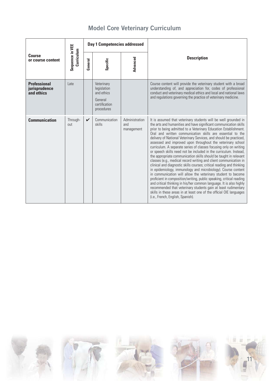| <b>Course</b><br>or course content                 | Sequence in VEE<br>Curriculum | <b>Day 1 Competencies addressed</b> |                                                                                   |                                     |                                                                                                                                                                                                                                                                                                                                                                                                                                                                                                                                                                                                                                                                                                                                                                                                                                                                                                                                                                                                                                                                                                                                                                                                                                        |
|----------------------------------------------------|-------------------------------|-------------------------------------|-----------------------------------------------------------------------------------|-------------------------------------|----------------------------------------------------------------------------------------------------------------------------------------------------------------------------------------------------------------------------------------------------------------------------------------------------------------------------------------------------------------------------------------------------------------------------------------------------------------------------------------------------------------------------------------------------------------------------------------------------------------------------------------------------------------------------------------------------------------------------------------------------------------------------------------------------------------------------------------------------------------------------------------------------------------------------------------------------------------------------------------------------------------------------------------------------------------------------------------------------------------------------------------------------------------------------------------------------------------------------------------|
|                                                    |                               | General                             | Specific                                                                          | Advanced                            | <b>Description</b>                                                                                                                                                                                                                                                                                                                                                                                                                                                                                                                                                                                                                                                                                                                                                                                                                                                                                                                                                                                                                                                                                                                                                                                                                     |
| <b>Professional</b><br>jurisprudence<br>and ethics | Late                          |                                     | Veterinary<br>legislation<br>and ethics<br>General<br>certification<br>procedures |                                     | Course content will provide the veterinary student with a broad<br>understanding of, and appreciation for, codes of professional<br>conduct and veterinary medical ethics and local and national laws<br>and regulations governing the practice of veterinary medicine.                                                                                                                                                                                                                                                                                                                                                                                                                                                                                                                                                                                                                                                                                                                                                                                                                                                                                                                                                                |
| <b>Communication</b>                               | Through-<br>out               | $\checkmark$                        | Communication<br>skills                                                           | Administration<br>and<br>management | It is assumed that veterinary students will be well grounded in<br>the arts and humanities and have significant communication skills<br>prior to being admitted to a Veterinary Education Establishment.<br>Oral and written communication skills are essential to the<br>delivery of National Veterinary Services, and should be practiced,<br>assessed and improved upon throughout the veterinary school<br>curriculum. A separate series of classes focusing only on writing<br>or speech skills need not be included in the curriculum. Instead,<br>the appropriate communication skills should be taught in relevant<br>classes (e.g., medical record writing and client communication in<br>clinical and diagnostic skills courses; critical reading and thinking<br>in epidemiology, immunology and microbiology). Course content<br>in communication will allow the veterinary student to become<br>proficient in composition/writing, public speaking, critical reading<br>and critical thinking in his/her common language. It is also highly<br>recommended that veterinary students gain at least rudimentary<br>skills in these areas in at least one of the official OIE languages<br>(i.e., French, English, Spanish). |